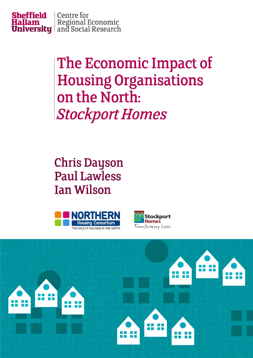

# The Economic Impact of **Housing Organisations** on the North: **Stockport Homes**

**Chris Dayson Paul Lawless Ian Wilson** 





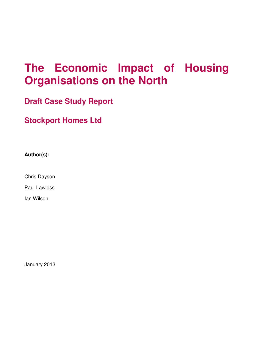# **The Economic Impact of Housing Organisations on the North**

**Draft Case Study Report** 

**Stockport Homes Ltd**

**Author(s):** 

Chris Dayson

Paul Lawless

Ian Wilson

January 2013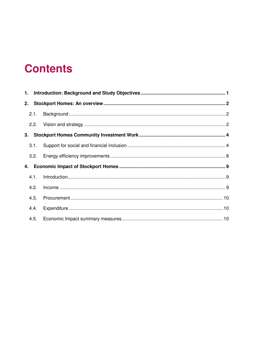# **Contents**

|    | 3.1. |  |
|----|------|--|
|    | 3.2. |  |
| 4. |      |  |
|    | 4.1. |  |
|    | 4.2. |  |
|    | 4.3. |  |
|    | 4.4. |  |
|    | 4.5. |  |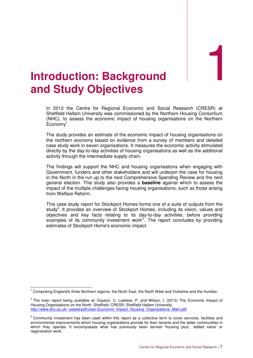1

# **Introduction: Background and Study Objectives**

In 2012 the Centre for Regional Economic and Social Research (CRESR) at Sheffield Hallam University was commissioned by the Northern Housing Consortium (NHC), to assess the economic impact of housing organisations on the Northern  $E$ conomy<sup>1</sup>.

The study provides an estimate of the economic impact of housing organisations on the northern economy based on evidence from a survey of members and detailed case study work in seven organisations. It measures the economic activity stimulated directly by the day-to-day activities of housing organisations as well as the additional activity through the intermediate supply chain.

The findings will support the NHC and housing organisations when engaging with Government, funders and other stakeholders and will underpin the case for housing in the North in the run up to the next Comprehensive Spending Review and the next general election. This study also provides a **baseline** against which to assess the impact of the multiple challenges facing housing organisations, such as those arising from Welfare Reform.

This case study report for Stockport Homes forms one of a suite of outputs from the study<sup>2</sup>. It provides an overview of Stockport Homes, including its vision, values and objectives and key facts relating to its day-to-day activities, before providing examples of its community investment work<sup>3</sup>. The report concludes by providing estimates of Stockport Home's economic impact.

**The Comprising England's three Northern regions: the North East, the North West and Yorkshire and the Humber.**<br><sup>1</sup> Comprising England's three Northern regions: the North East, the North West and Yorkshire and the Humber.

 $^2$  The main report being available at: Dayson, C. Lawless, P. and Wilson, I. (2013) The Economic Impact of Housing Organisations on the North. Sheffield: CRESR, Sheffield Hallam University. http://www.shu.ac.uk/\_assets/pdf/cresr-Economic\_Impact\_Housing\_Organsiations\_Main.pdf

 $3$  Community investment has been used within this report as a collective term to cover services, facilities and environmental improvements which housing organisations provide for their tenants and the wider communities in which they operate. It encompasses what has previously been termed 'housing plus', 'added value' or regeneration work.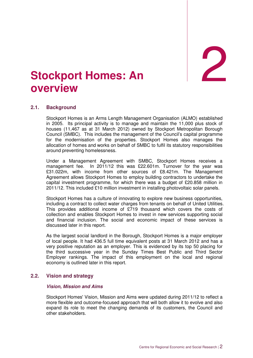2

# **Stockport Homes: An overview**

#### **2.1. Background**

Stockport Homes is an Arms Length Management Organisation (ALMO) established in 2005. Its principal activity is to manage and maintain the 11,000 plus stock of houses (11,467 as at 31 March 2012) owned by Stockport Metropolitan Borough Council (SMBC). This includes the management of the Council's capital programme for the modernisation of the properties. Stockport Homes also manages the allocation of homes and works on behalf of SMBC to fulfil its statutory responsibilities around preventing homelessness.

Under a Management Agreement with SMBC, Stockport Homes receives a management fee. In 2011/12 this was £22.601m. Turnover for the year was £31.022m, with income from other sources of £8.421m. The Management Agreement allows Stockport Homes to employ building contractors to undertake the capital investment programme, for which there was a budget of £20.858 million in 2011/12. This included £10 million investment in installing photovoltaic solar panels.

Stockport Homes has a culture of innovating to explore new business opportunities, including a contract to collect water charges from tenants on behalf of United Utilities. This provides additional income of £719 thousand which covers the costs of collection and enables Stockport Homes to invest in new services supporting social and financial inclusion. The social and economic impact of these services is discussed later in this report.

As the largest social landlord in the Borough, Stockport Homes is a major employer of local people. It had 436.5 full time equivalent posts at 31 March 2012 and has a very positive reputation as an employer. This is evidenced by its top 50 placing for the third successive year in the Sunday Times Best Public and Third Sector Employer rankings. The impact of this employment on the local and regional economy is outlined later in this report.

#### **2.2. Vision and strategy**

#### **Vision, Mission and Aims**

Stockport Homes' Vision, Mission and Aims were updated during 2011/12 to reflect a more flexible and outcome-focused approach that will both allow it to evolve and also expand its role to meet the changing demands of its customers, the Council and other stakeholders.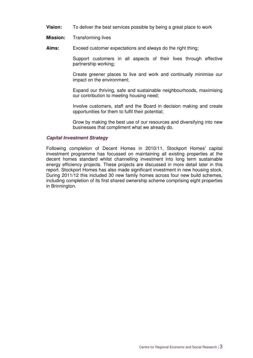- **Vision:** To deliver the best services possible by being a great place to work
- **Mission:** Transforming lives
- **Aims:** Exceed customer expectations and always do the right thing;

 Support customers in all aspects of their lives through effective partnership working;

 Create greener places to live and work and continually minimise our impact on the environment;

 Expand our thriving, safe and sustainable neighbourhoods, maximising our contribution to meeting housing need;

 Involve customers, staff and the Board in decision making and create opportunities for them to fulfil their potential;

 Grow by making the best use of our resources and diversifying into new businesses that compliment what we already do.

#### **Capital Investment Strategy**

Following completion of Decent Homes in 2010/11, Stockport Homes' capital investment programme has focussed on maintaining all existing properties at the decent homes standard whilst channelling investment into long term sustainable energy efficiency projects. These projects are discussed in more detail later in this report. Stockport Homes has also made significant investment in new housing stock. During 2011/12 this included 30 new family homes across four new build schemes, including completion of its first shared ownership scheme comprising eight properties in Brinnington.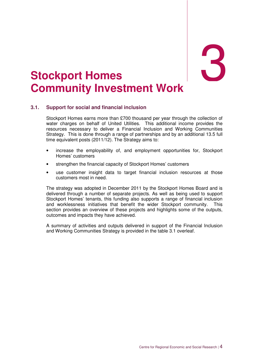# 3

# 3. **Stockport Homes Community Investment Work**

#### **3.1. Support for social and financial inclusion**

Stockport Homes earns more than £700 thousand per year through the collection of water charges on behalf of United Utilities. This additional income provides the resources necessary to deliver a Financial Inclusion and Working Communities Strategy. This is done through a range of partnerships and by an additional 13.5 full time equivalent posts (2011/12). The Strategy aims to:

- increase the employability of, and employment opportunities for, Stockport Homes' customers
- strengthen the financial capacity of Stockport Homes' customers
- use customer insight data to target financial inclusion resources at those customers most in need.

The strategy was adopted in December 2011 by the Stockport Homes Board and is delivered through a number of separate projects. As well as being used to support Stockport Homes' tenants, this funding also supports a range of financial inclusion and worklessness initiatives that benefit the wider Stockport community. This section provides an overview of these projects and highlights some of the outputs, outcomes and impacts they have achieved.

A summary of activities and outputs delivered in support of the Financial Inclusion and Working Communities Strategy is provided in the table 3.1 overleaf.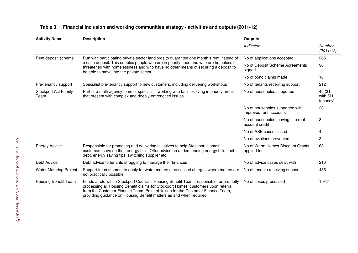| <b>Activity Name</b>                | <b>Description</b>                                                                                                                                                                                                                                                                                                                     | <b>Outputs</b>                                            |                               |
|-------------------------------------|----------------------------------------------------------------------------------------------------------------------------------------------------------------------------------------------------------------------------------------------------------------------------------------------------------------------------------------|-----------------------------------------------------------|-------------------------------|
|                                     |                                                                                                                                                                                                                                                                                                                                        | Indicator                                                 | Number<br>(2011/12)           |
| Rent deposit scheme                 | Run with participating private sector landlords to guarantee one month's rent instead of<br>a cash deposit. This enables people who are in priority need and who are homeless or<br>threatened with homelessness and who have no other means of securing a deposit to<br>be able to move into the private sector.                      | No of applications accepted                               | 265                           |
|                                     |                                                                                                                                                                                                                                                                                                                                        | No of Deposit Scheme Agreements<br>signed                 | 90                            |
|                                     |                                                                                                                                                                                                                                                                                                                                        | No of bond claims made                                    | 10                            |
| Pre-tenancy support                 | Specialist pre-tenancy support to new customers, including delivering workshops                                                                                                                                                                                                                                                        | No of tenants receiving support                           | 212                           |
| <b>Stockport Act Family</b><br>Team | Part of a multi-agency team of specialists working with families living in priority areas<br>that present with complex and deeply-entrenched issues.                                                                                                                                                                                   | No of households supported                                | 45 (31<br>with SH<br>tenancy) |
|                                     |                                                                                                                                                                                                                                                                                                                                        | No of households supported with<br>improved rent accounts | 20                            |
|                                     |                                                                                                                                                                                                                                                                                                                                        | No of households moving into rent<br>account credit       | 8                             |
|                                     |                                                                                                                                                                                                                                                                                                                                        | No of ASB cases closed                                    | 4                             |
|                                     |                                                                                                                                                                                                                                                                                                                                        | No of evictions prevented                                 | 3                             |
| <b>Energy Advice</b>                | Responsible for promoting and delivering initiatives to help Stockport Homes'<br>customers save on their energy bills. Offer advice on understanding energy bills, fuel<br>debt, energy saving tips, switching supplier etc.                                                                                                           | No of Warm Homes Discount Grants<br>applied for           | 68                            |
| Debt Advice                         | Debt advice to tenants struggling to manage their finances                                                                                                                                                                                                                                                                             | No of advice cases dealt with                             | 210                           |
| <b>Water Metering Project</b>       | Support for customers to apply for water meters or assessed charges where meters are<br>not practically possible                                                                                                                                                                                                                       | No of tenants receiving support                           | 435                           |
| <b>Housing Benefit Team</b>         | Funds a role within Stockport Council's Housing Benefit Team, responsible for promptly<br>processing all Housing Benefit claims for Stockport Homes' customers upon referral<br>from the Customer Finance Team. Point of liaison for the Customer Finance Team,<br>providing guidance on Housing Benefit matters as and when required. | No of cases processed                                     | 1,947                         |

#### **Table 3.1: Financial inclusion and working communities strategy - activities and outputs (2011-12)**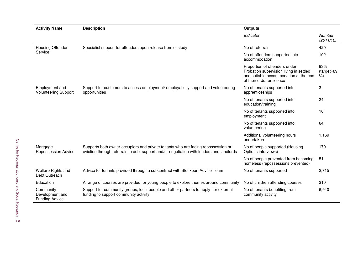| <b>Activity Name</b>                                  | <b>Description</b>                                                                                                                                                           | <b>Outputs</b>                                                                                                                                 |                        |  |
|-------------------------------------------------------|------------------------------------------------------------------------------------------------------------------------------------------------------------------------------|------------------------------------------------------------------------------------------------------------------------------------------------|------------------------|--|
|                                                       |                                                                                                                                                                              | Indicator                                                                                                                                      | Number<br>(2011/12)    |  |
| <b>Housing Offender</b>                               | Specialist support for offenders upon release from custody                                                                                                                   | No of referrals                                                                                                                                | 420                    |  |
| Service                                               |                                                                                                                                                                              | No of offenders supported into<br>accommodation                                                                                                | 102                    |  |
|                                                       |                                                                                                                                                                              | Proportion of offenders under<br>Probation supervision living in settled<br>and suitable accommodation at the end<br>of their order or licence | 93%<br>(target=89<br>% |  |
| Employment and<br><b>Volunteering Support</b>         | Support for customers to access employment/ employability support and volunteering<br>opportunities                                                                          | No of tenants supported into<br>apprenticeships                                                                                                | 3                      |  |
|                                                       |                                                                                                                                                                              | No of tenants supported into<br>education/training                                                                                             | 24                     |  |
|                                                       |                                                                                                                                                                              | No of tenants supported into<br>employment                                                                                                     | 16                     |  |
|                                                       |                                                                                                                                                                              | No of tenants supported into<br>volunteering                                                                                                   | 64                     |  |
|                                                       |                                                                                                                                                                              | Additional volunteering hours<br>undertaken                                                                                                    | 1,169                  |  |
| Mortgage<br><b>Repossession Advice</b>                | Supports both owner-occupiers and private tenants who are facing repossession or<br>eviction through referrals to debt support and/or negotiation with lenders and landlords | No of people supported (Housing<br>Options interviews)                                                                                         | 170                    |  |
|                                                       |                                                                                                                                                                              | No of people prevented from becoming<br>homeless (repossessions prevented)                                                                     | 51                     |  |
| Welfare Rights and<br>Debt Outreach                   | Advice for tenants provided through a subcontract with Stockport Advice Team                                                                                                 | No of tenants supported                                                                                                                        | 2,715                  |  |
| Education                                             | A range of courses are provided for young people to explore themes around community                                                                                          | No of children attending courses                                                                                                               | 310                    |  |
| Community<br>Development and<br><b>Funding Advice</b> | Support for community groups, local people and other partners to apply for external<br>funding to support community activity                                                 | No of tenants benefiting from<br>community activity                                                                                            | 6,940                  |  |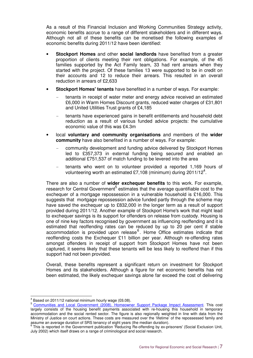As a result of this Financial Inclusion and Working Communities Strategy activity, economic benefits accrue to a range of different stakeholders and in different ways. Although not all of these benefits can be monetised the following examples of economic benefits during 2011/12 have been identified:

- **Stockport Homes** and other **social landlords** have benefited from a greater proportion of clients meeting their rent obligations. For example, of the 45 families supported by the Act Family team, 33 had rent arrears when they started with the project. Of these families 13 were supported to be in credit on their accounts and 12 to reduce their arrears. This resulted in an overall reduction in arrears of £2,633
- **Stockport Homes' tenants** have benefited in a number of ways. For example:
	- tenants in receipt of water meter and energy advice received an estimated £6,000 in Warm Homes Discount grants, reduced water charges of £31,801 and United Utilities Trust grants of £4,185
	- tenants have experienced gains in benefit entitlements and household debt reduction as a result of various funded advice projects: the cumulative economic value of this was £4.3m
- local **voluntary and community organisations** and members of the **wider community** have also benefited in a number of ways. For example:
	- community development and funding advice delivered by Stockport Homes led to £357,373 in external funding being secured and enabled an additional £751,537 of match funding to be levered into the area
	- tenants who went on to volunteer provided a reported 1,169 hours of volunteering worth an estimated £7,108 (minimum) during 2011/12<sup>4</sup>.

There are also a number of **wider exchequer benefits** to this work. For example, research for Central Government<sup>5</sup> estimates that the average quantifiable cost to the exchequer of a mortgage repossession in a vulnerable household is £16,000. This suggests that mortgage repossession advice funded partly through the scheme may have saved the exchequer up to £832,000 in the longer term as a result of support provided during 2011/12. Another example of Stockport Home's work that might lead to exchequer savings is its support for offenders on release from custody. Housing is one of nine key factors recognised by government as influencing reoffending and it is estimated that reoffending rates can be reduced by up to 20 per cent if stable accommodation is provided upon release<sup>6</sup>. Home Office estimates indicate that reoffending costs the Exchequer £11 billion per year. Although re-offending rates amongst offenders in receipt of support from Stockport Homes have not been captured, it seems likely that these tenants will be less likely to reoffend than if this support had not been provided.

Overall, these benefits represent a significant return on investment for Stockport Homes and its stakeholders. Although a figure for net economic benefits has not been estimated, the likely exchequer savings alone far exceed the cost of delivering

 4 Based on 2011/12 national minimum hourly wage (£6.08).

<sup>5</sup> Communities and Local Government (2008). Homeowner Support Package Impact Assessment. This cost largely consists of the housing benefit payments associated with re-housing this household in temporary accommodation and the social rented sector. The figure is also regionally weighted in line with data from the Ministry of Justice on court actions. These costs are measured over the 'lifetime' of the repossessed family and

assume an average duration of SRS tenancy of eight years (the median duration).<br><sup>6</sup> This is reported in the Government publication 'Reducing Re-offending by ex-prisoners' (Social Exclusion Unit, July 2002) which itself draws on a range of criminological and social research.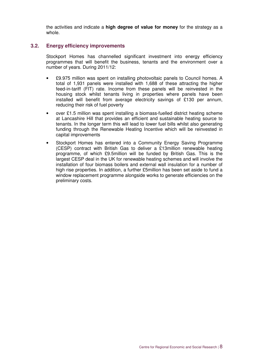the activities and indicate a **high degree of value for money** for the strategy as a whole.

#### **3.2. Energy efficiency improvements**

Stockport Homes has channelled significant investment into energy efficiency programmes that will benefit the business, tenants and the environment over a number of years. During 2011/12:

- £9.975 million was spent on installing photovoltaic panels to Council homes. A total of 1,931 panels were installed with 1,688 of these attracting the higher feed-in-tariff (FIT) rate. Income from these panels will be reinvested in the housing stock whilst tenants living in properties where panels have been installed will benefit from average electricity savings of £130 per annum, reducing their risk of fuel poverty
- over £1.5 million was spent installing a biomass-fuelled district heating scheme at Lancashire Hill that provides an efficient and sustainable heating source to tenants. In the longer term this will lead to lower fuel bills whilst also generating funding through the Renewable Heating Incentive which will be reinvested in capital improvements
- Stockport Homes has entered into a Community Energy Saving Programme (CESP) contract with British Gas to deliver a £13million renewable heating programme, of which £9.5million will be funded by British Gas. This is the largest CESP deal in the UK for renewable heating schemes and will involve the installation of four biomass boilers and external wall insulation for a number of high rise properties. In addition, a further £5million has been set aside to fund a window replacement programme alongside works to generate efficiencies on the preliminary costs.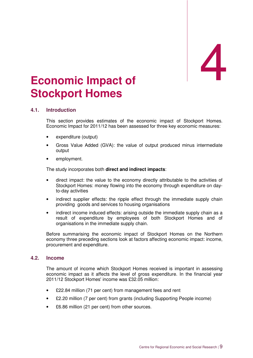# Economic Impact of **Stockport Homes**

#### **4.1. Introduction**

This section provides estimates of the economic impact of Stockport Homes. Economic Impact for 2011/12 has been assessed for three key economic measures:

- expenditure (output)
- Gross Value Added (GVA): the value of output produced minus intermediate output
- employment.

The study incorporates both **direct and indirect impacts**:

- direct impact: the value to the economy directly attributable to the activities of Stockport Homes: money flowing into the economy through expenditure on dayto-day activities
- indirect supplier effects: the ripple effect through the immediate supply chain providing goods and services to housing organisations
- indirect income induced effects: arising outside the immediate supply chain as a result of expenditure by employees of both Stockport Homes and of organisations in the immediate supply chain.

Before summarising the economic impact of Stockport Homes on the Northern economy three preceding sections look at factors affecting economic impact: income, procurement and expenditure.

#### **4.2. Income**

The amount of income which Stockport Homes received is important in assessing economic impact as it affects the level of gross expenditure. In the financial year 2011/12 Stockport Homes' income was £32.05 million:

- £22.84 million (71 per cent) from management fees and rent
- £2.20 million (7 per cent) from grants (including Supporting People income)
- £6.86 million (21 per cent) from other sources.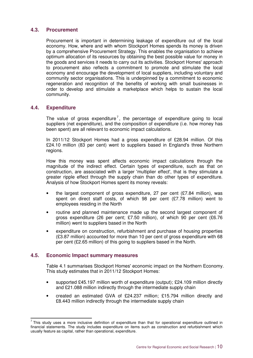#### **4.3. Procurement**

Procurement is important in determining leakage of expenditure out of the local economy. How, where and with whom Stockport Homes spends its money is driven by a comprehensive Procurement Strategy. This enables the organisation to achieve optimum allocation of its resources by obtaining the best possible value for money in the goods and services it needs to carry out its activities. Stockport Homes' approach to procurement also reflects a commitment to promote and stimulate the local economy and encourage the development of local suppliers, including voluntary and community sector organisations. This is underpinned by a commitment to economic regeneration and recognition of the benefits of working with small businesses in order to develop and stimulate a marketplace which helps to sustain the local community.

#### **4.4. Expenditure**

The value of gross expenditure<sup>7</sup>, the percentage of expenditure going to local suppliers (net expenditure), and the composition of expenditure (i.e. how money has been spent) are all relevant to economic impact calculations.

In 2011/12 Stockport Homes had a gross expenditure of £28.94 million. Of this £24.10 million (83 per cent) went to suppliers based in England's three Northern regions.

How this money was spent affects economic impact calculations through the magnitude of the indirect effect. Certain types of expenditure, such as that on construction, are associated with a larger 'multiplier effect', that is they stimulate a greater ripple effect through the supply chain than do other types of expenditure. Analysis of how Stockport Homes spent its money reveals:

- the largest component of gross expenditure, 27 per cent  $(E7.84$  million), was spent on direct staff costs, of which 98 per cent (£7.78 million) went to employees residing in the North
- routine and planned maintenance made up the second largest component of gross expenditure (26 per cent; £7.50 million), of which 90 per cent (£6.76 million) went to suppliers based in the North
- expenditure on construction, refurbishment and purchase of housing properties (£3.87 million) accounted for more than 10 per cent of gross expenditure with 68 per cent (£2.65 million) of this going to suppliers based in the North.

#### **4.5. Economic Impact summary measures**

Table 4.1 summarises Stockport Homes' economic impact on the Northern Economy. This study estimates that in 2011/12 Stockport Homes:

- supported £45.197 million worth of expenditure (output); £24.109 million directly and £21.088 million indirectly through the intermediate supply chain
- created an estimated GVA of £24.237 million; £15.794 million directly and £8.443 million indirectly through the intermediate supply chain

This study uses a more inclusive definition of expenditure than that for operational expenditure outlined in financial statements. The study includes expenditure on items such as construction and refurbishment which usually feature as capital, rather than operational, expenditure.